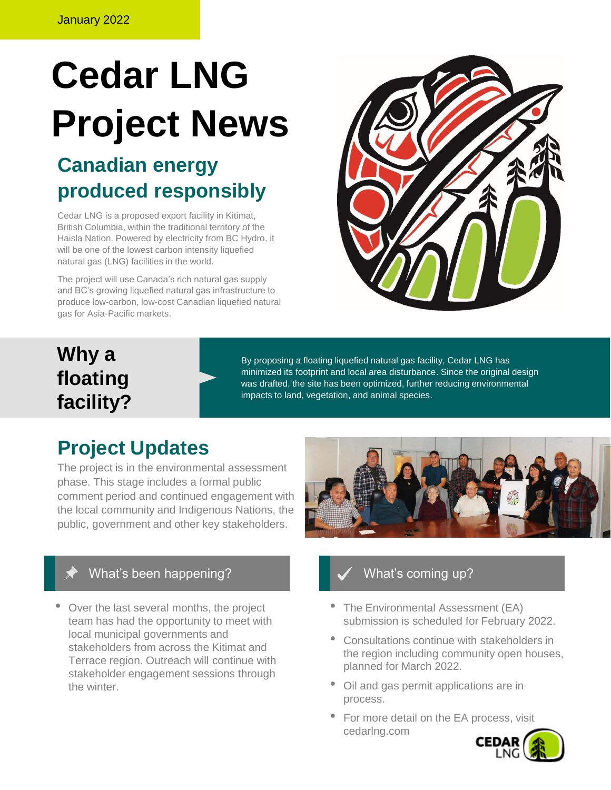# **Cedar LNG Project News**

# **Canadian energy produced responsibly**

Cedar LNG is a proposed export facility in Kitimat, British Columbia, within the traditional territory of the Haisla Nation. Powered by electricity from BC Hydro, it will be one of the lowest carbon intensity liquefied natural gas (LNG) facilities in the world.

The project will use Canada's rich natural gas supply and BC's growing liquefied natural gas infrastructure to produce low-carbon, low-cost Canadian liquefied natural gas for Asia-Pacific markets.



# **Why a floating facility?**

By proposing a floating liquefied natural gas facility, Cedar LNG has minimized its footprint and local area disturbance. Since the original design was drafted, the site has been optimized, further reducing environmental impacts to land, vegetation, and animal species.

# **Project Updates**

The project is in the environmental assessment phase. This stage includes a formal public comment period and continued engagement with the local community and Indigenous Nations, the public, government and other key stakeholders.



## What's been happening?

• Over the last several months, the project team has had the opportunity to meet with local municipal governments and stakeholders from across the Kitimat and Terrace region. Outreach will continue with stakeholder engagement sessions through the winter.

## What's coming up?

- The Environmental Assessment (EA) submission is scheduled for February 2022.
- Consultations continue with stakeholders in the region including community open houses, planned for March 2022.
- Oil and gas permit applications are in process.
- For more detail on the EA process, visit cedarlng.com